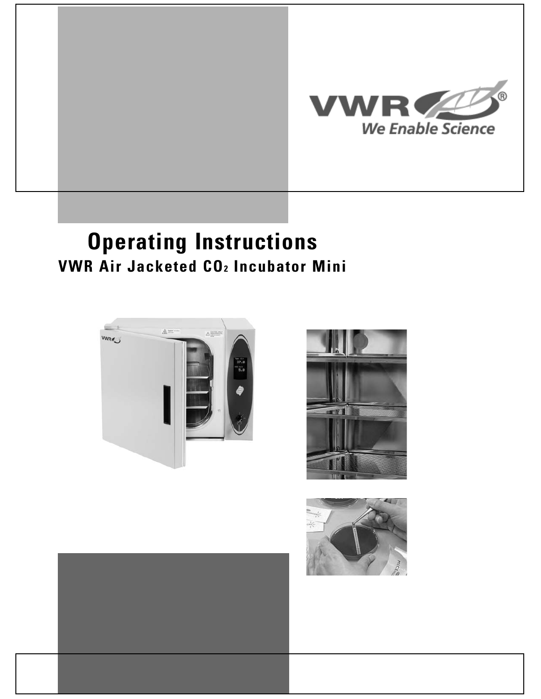

# **Operating Instructions VWR Air Jacketed CO2 Incubator Mini**





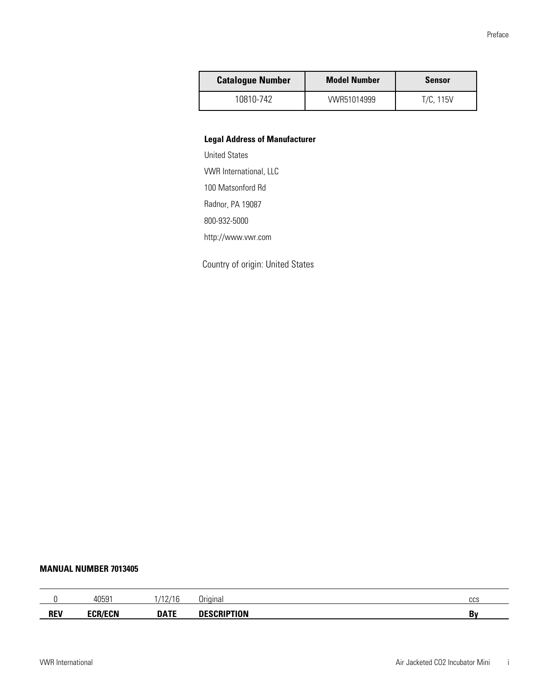| <b>Catalogue Number</b> | <b>Model Number</b> | <b>Sensor</b> |
|-------------------------|---------------------|---------------|
| 10810-742               | VWR51014999         | T/C, 115V     |

#### **Legal Address of Manufacturer**

United States VWR International, LLC 100 Matsonford Rd Radnor, PA 19087 800-932-5000 http://www.vwr.com

Country of origin: United States

#### **MANUAL NUMBER 7013405**

|            | 4059     | 140140<br><u>_ ,</u> | Jrıaınal | 000<br>ูบบบ |
|------------|----------|----------------------|----------|-------------|
| <b>REV</b> | FAR FANI | <b>DATF</b>          | .<br>υN  | Bv          |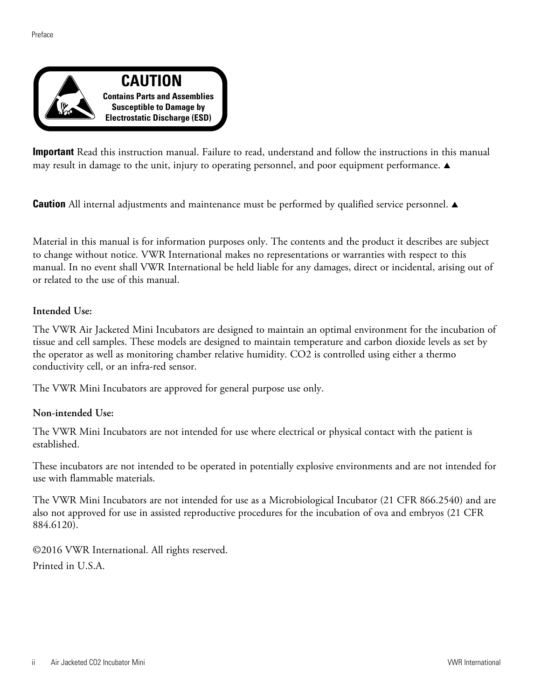

**Important** Read this instruction manual. Failure to read, understand and follow the instructions in this manual may result in damage to the unit, injury to operating personnel, and poor equipment performance.  $\blacktriangle$ 

**Caution** All internal adjustments and maintenance must be performed by qualified service personnel.  $\blacktriangle$ 

Material in this manual is for information purposes only. The contents and the product it describes are subject to change without notice. VWR International makes no representations or warranties with respect to this manual. In no event shall VWR International be held liable for any damages, direct or incidental, arising out of or related to the use of this manual.

#### **Intended Use:**

The VWR Air Jacketed Mini Incubators are designed to maintain an optimal environment for the incubation of tissue and cell samples. These models are designed to maintain temperature and carbon dioxide levels as set by the operator as well as monitoring chamber relative humidity. CO2 is controlled using either a thermo conductivity cell, or an infra-red sensor.

The VWR Mini Incubators are approved for general purpose use only.

#### **Non-intended Use:**

The VWR Mini Incubators are not intended for use where electrical or physical contact with the patient is established.

These incubators are not intended to be operated in potentially explosive environments and are not intended for use with flammable materials.

The VWR Mini Incubators are not intended for use as a Microbiological Incubator (21 CFR 866.2540) and are also not approved for use in assisted reproductive procedures for the incubation of ova and embryos (21 CFR 884.6120).

©2016 VWR International. All rights reserved. Printed in U.S.A.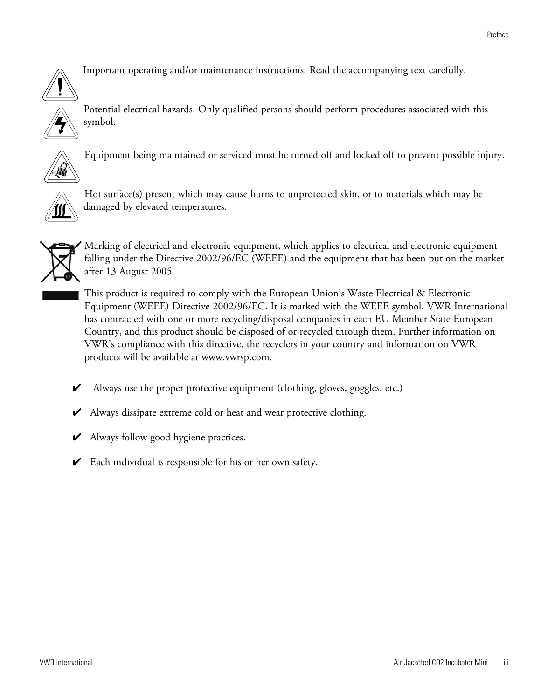

Important operating and/or maintenance instructions. Read the accompanying text carefully.





Equipment being maintained or serviced must be turned off and locked off to prevent possible injury.



Hot surface(s) present which may cause burns to unprotected skin, or to materials which may be damaged by elevated temperatures.



Marking of electrical and electronic equipment, which applies to electrical and electronic equipment falling under the Directive 2002/96/EC (WEEE) and the equipment that has been put on the market after 13 August 2005.

This product is required to comply with the European Union's Waste Electrical & Electronic Equipment (WEEE) Directive 2002/96/EC. It is marked with the WEEE symbol. VWR International has contracted with one or more recycling/disposal companies in each EU Member State European Country, and this product should be disposed of or recycled through them. Further information on VWR's compliance with this directive, the recyclers in your country and information on VWR products will be available at www.vwrsp.com.

- 4 Always use the proper protective equipment (clothing, gloves, goggles, etc.)
- 4 Always dissipate extreme cold or heat and wear protective clothing.
- $\blacktriangleright$  Always follow good hygiene practices.
- $\triangleright$  Each individual is responsible for his or her own safety.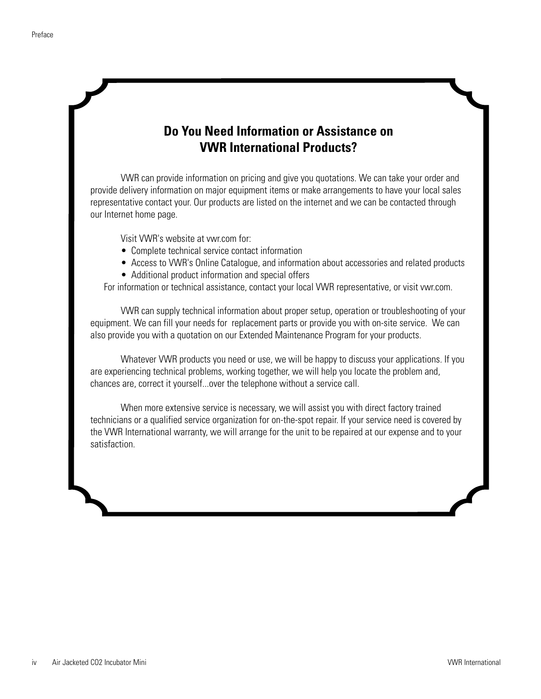#### **Do You Need Information or Assistance on VWR International Products?**

VWR can provide information on pricing and give you quotations. We can take your order and provide delivery information on major equipment items or make arrangements to have your local sales representative contact your. Our products are listed on the internet and we can be contacted through our Internet home page.

Visit VWR's website at vwr.com for:

- Complete technical service contact information
- Access to VWR's Online Catalogue, and information about accessories and related products
- Additional product information and special offers

For information or technical assistance, contact your local VWR representative, or visit vwr.com.

VWR can supply technical information about proper setup, operation or troubleshooting of your equipment. We can fill your needs for replacement parts or provide you with on-site service. We can also provide you with a quotation on our Extended Maintenance Program for your products.

Whatever VWR products you need or use, we will be happy to discuss your applications. If you are experiencing technical problems, working together, we will help you locate the problem and, chances are, correct it yourself...over the telephone without a service call.

When more extensive service is necessary, we will assist you with direct factory trained technicians or a qualified service organization for on-the-spot repair. If your service need is covered by the VWR International warranty, we will arrange for the unit to be repaired at our expense and to your satisfaction.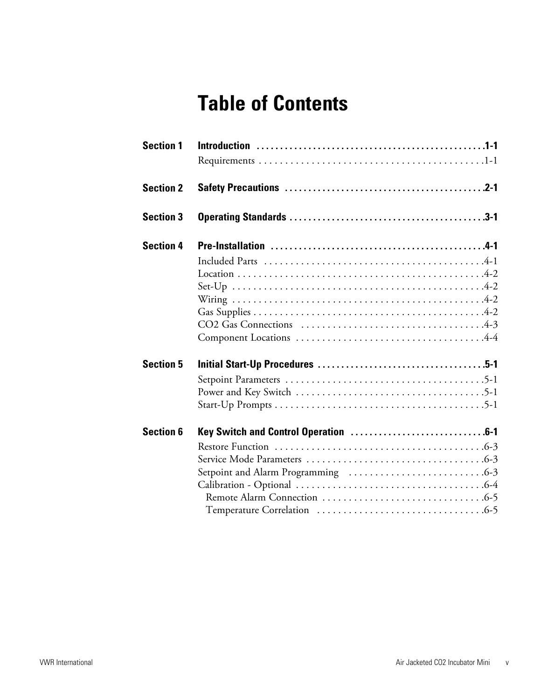# **Table of Contents**

| <b>Section 1</b> |  |
|------------------|--|
| <b>Section 2</b> |  |
| <b>Section 3</b> |  |
| <b>Section 4</b> |  |
|                  |  |
|                  |  |
|                  |  |
|                  |  |
|                  |  |
|                  |  |
|                  |  |
| <b>Section 5</b> |  |
|                  |  |
|                  |  |
|                  |  |
|                  |  |
| <b>Section 6</b> |  |
|                  |  |
|                  |  |
|                  |  |
|                  |  |
|                  |  |
|                  |  |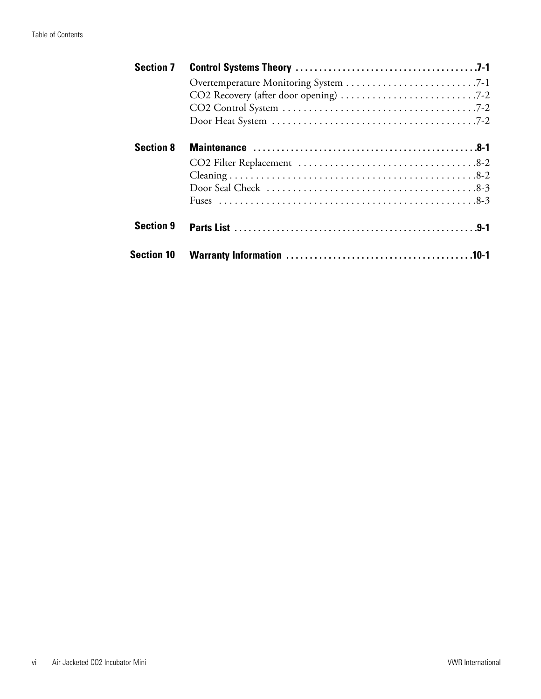| <b>Section 7</b>  |  |
|-------------------|--|
|                   |  |
|                   |  |
|                   |  |
|                   |  |
| <b>Section 8</b>  |  |
|                   |  |
|                   |  |
|                   |  |
|                   |  |
| <b>Section 9</b>  |  |
| <b>Section 10</b> |  |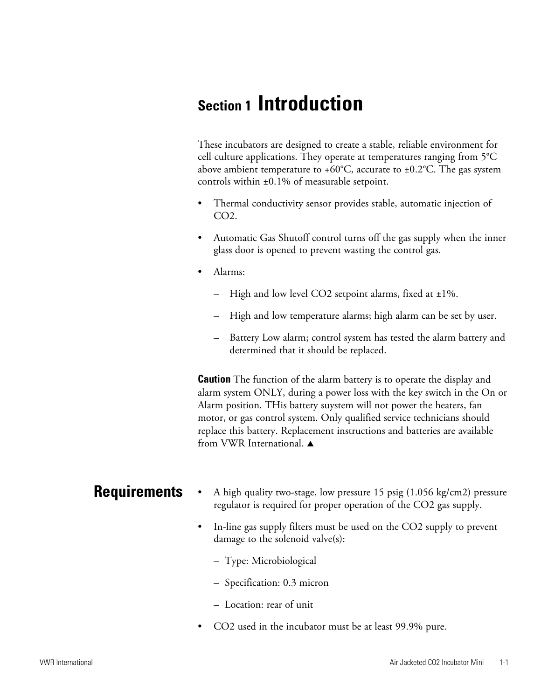## **Section 1 Introduction**

These incubators are designed to create a stable, reliable environment for cell culture applications. They operate at temperatures ranging from 5°C above ambient temperature to +60 $^{\circ}$ C, accurate to ±0.2 $^{\circ}$ C. The gas system controls within ±0.1% of measurable setpoint.

- Thermal conductivity sensor provides stable, automatic injection of CO2.
- Automatic Gas Shutoff control turns off the gas supply when the inner glass door is opened to prevent wasting the control gas.
- Alarms:
	- High and low level CO2 setpoint alarms, fixed at  $\pm 1\%$ .
	- High and low temperature alarms; high alarm can be set by user.
	- Battery Low alarm; control system has tested the alarm battery and determined that it should be replaced.

**Caution** The function of the alarm battery is to operate the display and alarm system ONLY, during a power loss with the key switch in the On or Alarm position. THis battery suystem will not power the heaters, fan motor, or gas control system. Only qualified service technicians should replace this battery. Replacement instructions and batteries are available from VWR International.  $\triangle$ 

- **Requirements** • A high quality two-stage, low pressure 15 psig (1.056 kg/cm2) pressure regulator is required for proper operation of the CO2 gas supply.
	- In-line gas supply filters must be used on the CO2 supply to prevent damage to the solenoid valve(s):
		- Type: Microbiological
		- Specification: 0.3 micron
		- Location: rear of unit
	- CO2 used in the incubator must be at least 99.9% pure.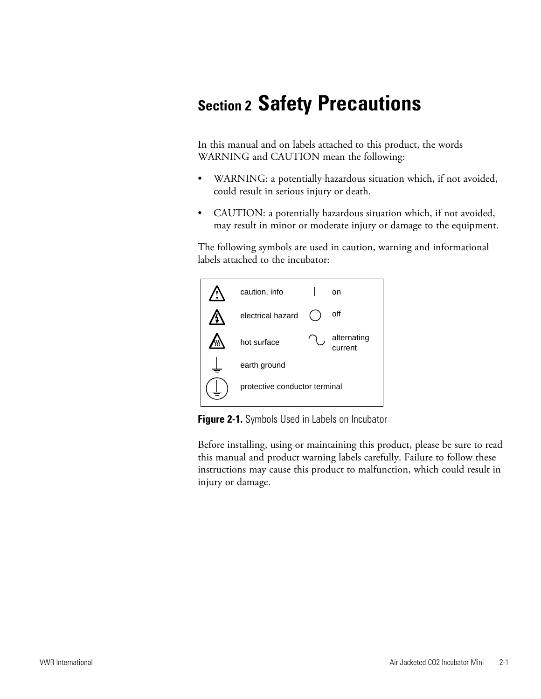# **Section 2 Safety Precautions**

In this manual and on labels attached to this product, the words WARNING and CAUTION mean the following:

- WARNING: a potentially hazardous situation which, if not avoided, could result in serious injury or death.
- CAUTION: a potentially hazardous situation which, if not avoided, may result in minor or moderate injury or damage to the equipment.

The following symbols are used in caution, warning and informational labels attached to the incubator:



**Figure 2-1.** Symbols Used in Labels on Incubator

Before installing, using or maintaining this product, please be sure to read this manual and product warning labels carefully. Failure to follow these instructions may cause this product to malfunction, which could result in injury or damage.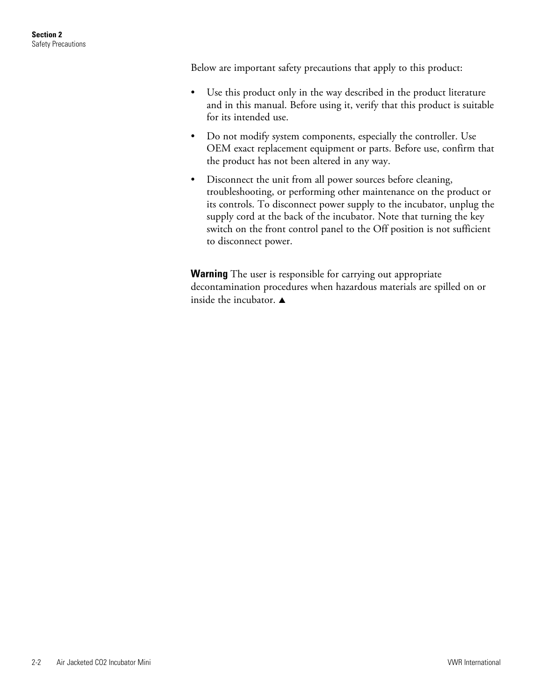Below are important safety precautions that apply to this product:

- Use this product only in the way described in the product literature and in this manual. Before using it, verify that this product is suitable for its intended use.
- Do not modify system components, especially the controller. Use OEM exact replacement equipment or parts. Before use, confirm that the product has not been altered in any way.
- Disconnect the unit from all power sources before cleaning, troubleshooting, or performing other maintenance on the product or its controls. To disconnect power supply to the incubator, unplug the supply cord at the back of the incubator. Note that turning the key switch on the front control panel to the Off position is not sufficient to disconnect power.

**Warning** The user is responsible for carrying out appropriate decontamination procedures when hazardous materials are spilled on or inside the incubator.  $\blacktriangle$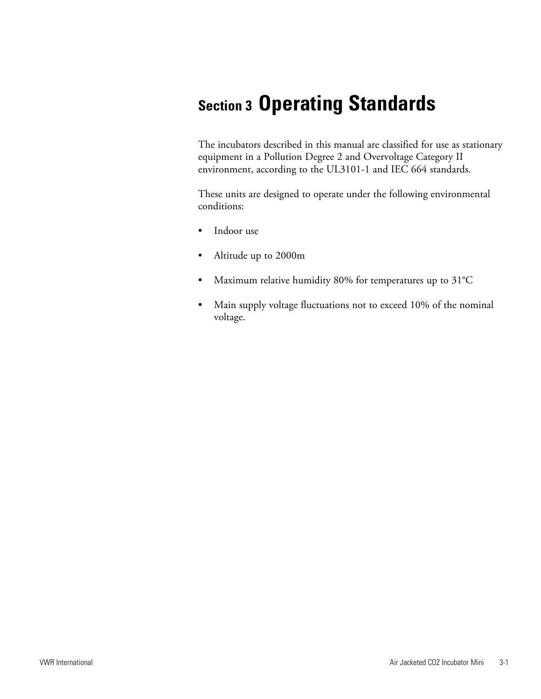# **Section 3 Operating Standards**

The incubators described in this manual are classified for use as stationary equipment in a Pollution Degree 2 and Overvoltage Category II environment, according to the UL3101-1 and IEC 664 standards.

These units are designed to operate under the following environmental conditions:

- Indoor use
- Altitude up to 2000m
- Maximum relative humidity 80% for temperatures up to 31°C
- Main supply voltage fluctuations not to exceed 10% of the nominal voltage.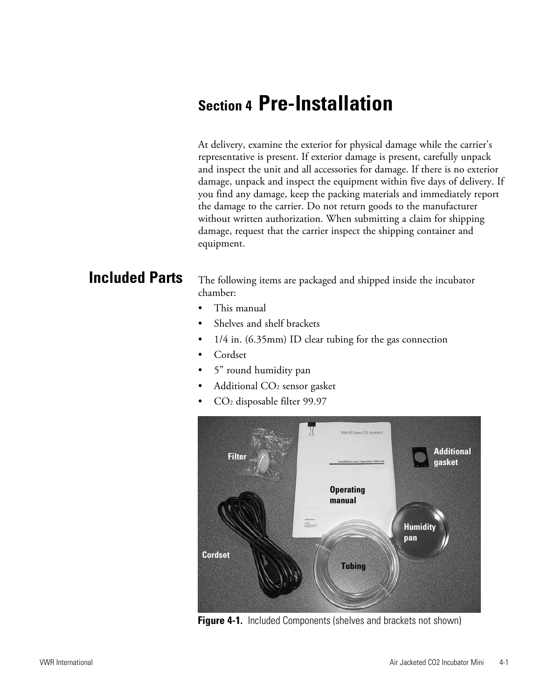## **Section 4 Pre-Installation**

At delivery, examine the exterior for physical damage while the carrier's representative is present. If exterior damage is present, carefully unpack and inspect the unit and all accessories for damage. If there is no exterior damage, unpack and inspect the equipment within five days of delivery. If you find any damage, keep the packing materials and immediately report the damage to the carrier. Do not return goods to the manufacturer without written authorization. When submitting a claim for shipping damage, request that the carrier inspect the shipping container and equipment.

### **Included Parts**

The following items are packaged and shipped inside the incubator chamber:

- This manual
- Shelves and shelf brackets
- 1/4 in. (6.35mm) ID clear tubing for the gas connection
- Cordset
- 5" round humidity pan
- Additional CO<sub>2</sub> sensor gasket
- CO2 disposable filter 99.97



**Figure 4-1.** Included Components (shelves and brackets not shown)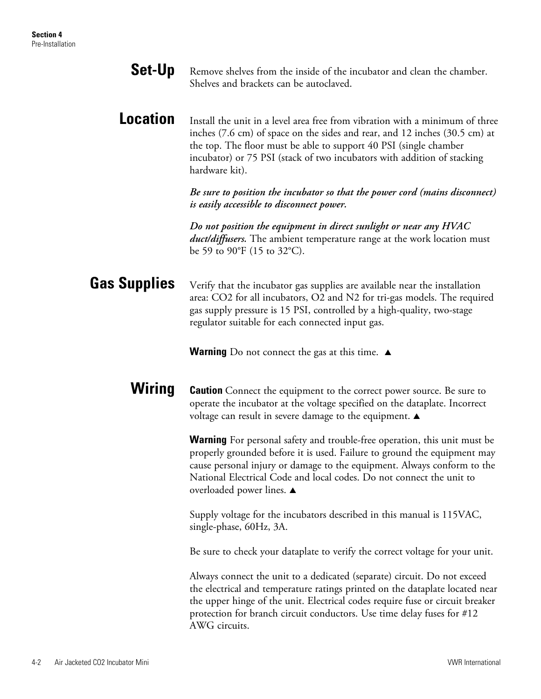| <b>Set-Up</b>       | Remove shelves from the inside of the incubator and clean the chamber.<br>Shelves and brackets can be autoclaved.                                                                                                                                                                                                                            |
|---------------------|----------------------------------------------------------------------------------------------------------------------------------------------------------------------------------------------------------------------------------------------------------------------------------------------------------------------------------------------|
| <b>Location</b>     | Install the unit in a level area free from vibration with a minimum of three<br>inches (7.6 cm) of space on the sides and rear, and 12 inches (30.5 cm) at<br>the top. The floor must be able to support 40 PSI (single chamber<br>incubator) or 75 PSI (stack of two incubators with addition of stacking<br>hardware kit).                 |
|                     | Be sure to position the incubator so that the power cord (mains disconnect)<br>is easily accessible to disconnect power.                                                                                                                                                                                                                     |
|                     | Do not position the equipment in direct sunlight or near any $HVAC$<br><i>duct/diffusers</i> . The ambient temperature range at the work location must<br>be 59 to 90°F (15 to 32°C).                                                                                                                                                        |
| <b>Gas Supplies</b> | Verify that the incubator gas supplies are available near the installation<br>area: CO2 for all incubators, O2 and N2 for tri-gas models. The required<br>gas supply pressure is 15 PSI, controlled by a high-quality, two-stage<br>regulator suitable for each connected input gas.                                                         |
|                     | <b>Warning</b> Do not connect the gas at this time. $\triangle$                                                                                                                                                                                                                                                                              |
| Wiring              | <b>Caution</b> Connect the equipment to the correct power source. Be sure to<br>operate the incubator at the voltage specified on the dataplate. Incorrect<br>voltage can result in severe damage to the equipment. $\blacktriangle$                                                                                                         |
|                     | <b>Warning</b> For personal safety and trouble-free operation, this unit must be<br>properly grounded before it is used. Failure to ground the equipment may<br>cause personal injury or damage to the equipment. Always conform to the<br>National Electrical Code and local codes. Do not connect the unit to<br>overloaded power lines. ▲ |
|                     | Supply voltage for the incubators described in this manual is 115VAC,<br>single-phase, 60Hz, 3A.                                                                                                                                                                                                                                             |
|                     | Be sure to check your dataplate to verify the correct voltage for your unit.                                                                                                                                                                                                                                                                 |
|                     | Always connect the unit to a dedicated (separate) circuit. Do not exceed<br>the electrical and temperature ratings printed on the dataplate located near<br>the upper hinge of the unit. Electrical codes require fuse or circuit breaker<br>protection for branch circuit conductors. Use time delay fuses for #12<br>AWG circuits.         |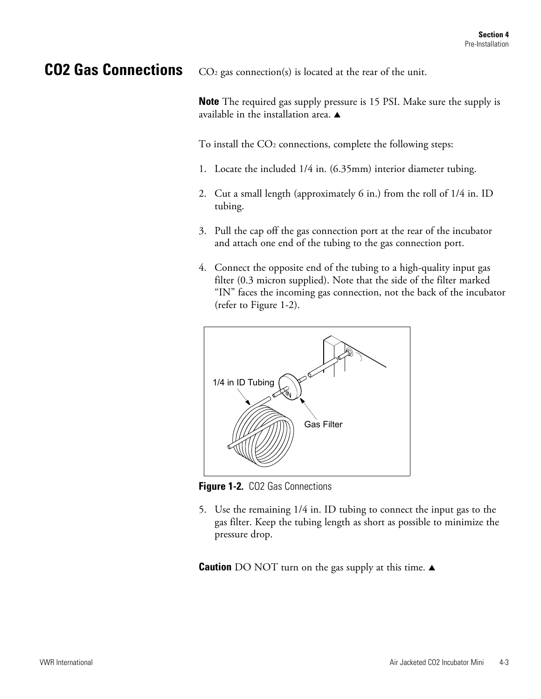### **CO2 Gas Connections**

 $CO<sub>2</sub>$  gas connection(s) is located at the rear of the unit.

**Note** The required gas supply pressure is 15 PSI. Make sure the supply is available in the installation area.  $\triangle$ 

To install the CO<sub>2</sub> connections, complete the following steps:

- 1. Locate the included 1/4 in. (6.35mm) interior diameter tubing.
- 2. Cut a small length (approximately 6 in.) from the roll of 1/4 in. ID tubing.
- 3. Pull the cap off the gas connection port at the rear of the incubator and attach one end of the tubing to the gas connection port.
- 4. Connect the opposite end of the tubing to a high-quality input gas filter (0.3 micron supplied). Note that the side of the filter marked "IN" faces the incoming gas connection, not the back of the incubator (refer to Figure 1-2).



**Figure 1-2.** CO2 Gas Connections

5. Use the remaining 1/4 in. ID tubing to connect the input gas to the gas filter. Keep the tubing length as short as possible to minimize the pressure drop.

**Caution** DO NOT turn on the gas supply at this time.  $\triangle$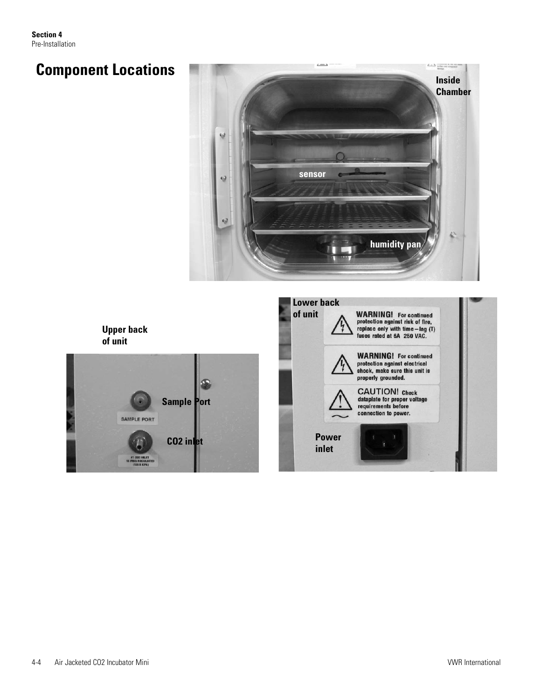**Section 4** Pre-Installation

## **Component Locations**







| of unit               | <b>WARNING!</b> For continued<br>protection against risk of fire,<br>replace only with time-lag (T)<br>fuses rated at 6A 250 VAC. |  |
|-----------------------|-----------------------------------------------------------------------------------------------------------------------------------|--|
|                       | <b>WARNING!</b> For continued<br>protection against electrical<br>shock, make sure this unit is<br>properly grounded.             |  |
|                       | <b>CAUTION!</b> Check<br>dataplate for proper voltage<br>requirements before<br>connection to power.                              |  |
| <b>Power</b><br>inlet |                                                                                                                                   |  |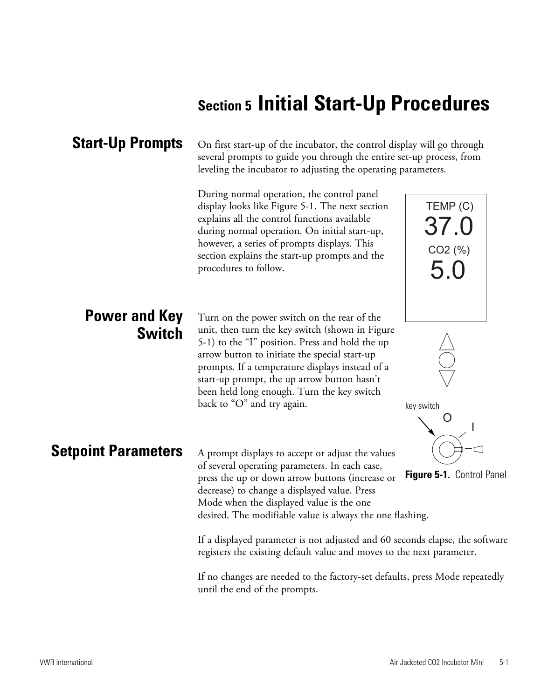# **Section 5 Initial Start-Up Procedures**

#### **Start-Up Prompts**

On first start-up of the incubator, the control display will go through several prompts to guide you through the entire set-up process, from leveling the incubator to adjusting the operating parameters.

During normal operation, the control panel display looks like Figure 5-1. The next section explains all the control functions available during normal operation. On initial start-up, however, a series of prompts displays. This section explains the start-up prompts and the procedures to follow.

### **Power and Key Switch**

Turn on the power switch on the rear of the unit, then turn the key switch (shown in Figure 5-1) to the "I" position. Press and hold the up arrow button to initiate the special start-up prompts. If a temperature displays instead of a start-up prompt, the up arrow button hasn't been held long enough. Turn the key switch back to "O" and try again.

#### **Setpoint Parameters**

A prompt displays to accept or adjust the values of several operating parameters. In each case, press the up or down arrow buttons (increase or decrease) to change a displayed value. Press Mode when the displayed value is the one desired. The modifiable value is always the one flashing.

O I

key switch

TEMP (C)

37.0

CO2 (%)

5.0



If a displayed parameter is not adjusted and 60 seconds elapse, the software registers the existing default value and moves to the next parameter.

If no changes are needed to the factory-set defaults, press Mode repeatedly until the end of the prompts.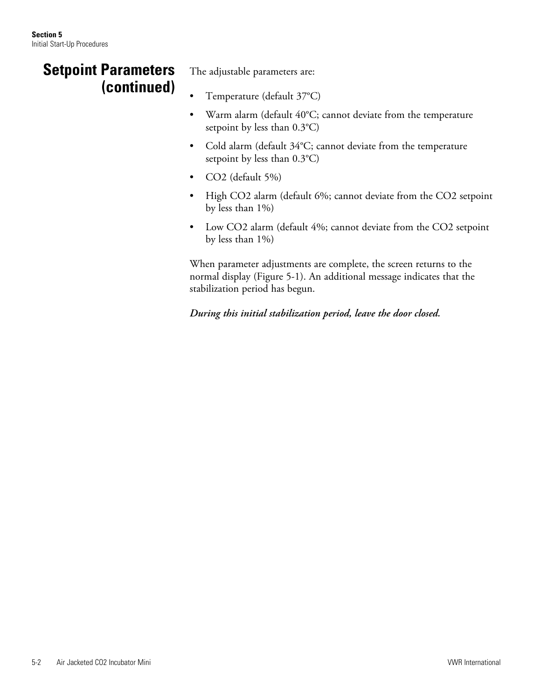### **Setpoint Parameters (continued)**

The adjustable parameters are:

- Temperature (default 37°C)
- Warm alarm (default 40°C; cannot deviate from the temperature setpoint by less than 0.3°C)
- Cold alarm (default 34°C; cannot deviate from the temperature setpoint by less than 0.3°C)
- CO2 (default 5%)
- High CO2 alarm (default 6%; cannot deviate from the CO2 setpoint by less than 1%)
- Low CO2 alarm (default 4%; cannot deviate from the CO2 setpoint by less than 1%)

When parameter adjustments are complete, the screen returns to the normal display (Figure 5-1). An additional message indicates that the stabilization period has begun.

*During this initial stabilization period, leave the door closed.*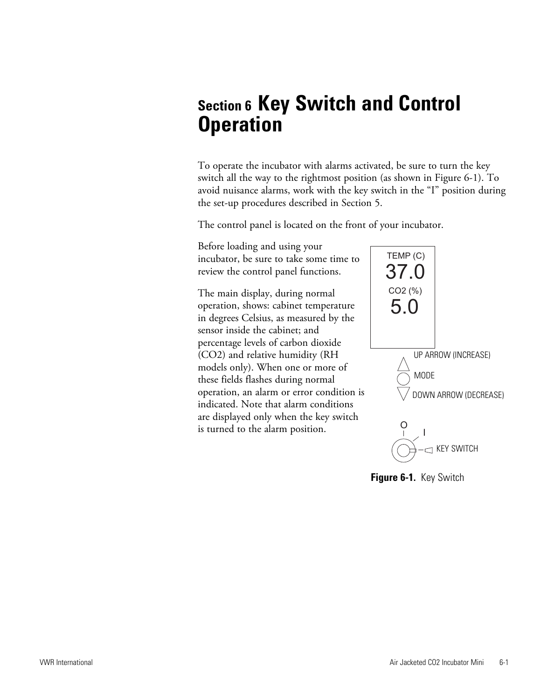## **Section 6 Key Switch and Control Operation**

To operate the incubator with alarms activated, be sure to turn the key switch all the way to the rightmost position (as shown in Figure 6-1). To avoid nuisance alarms, work with the key switch in the "I" position during the set-up procedures described in Section 5.

The control panel is located on the front of your incubator.



**Figure 6-1.** Key Switch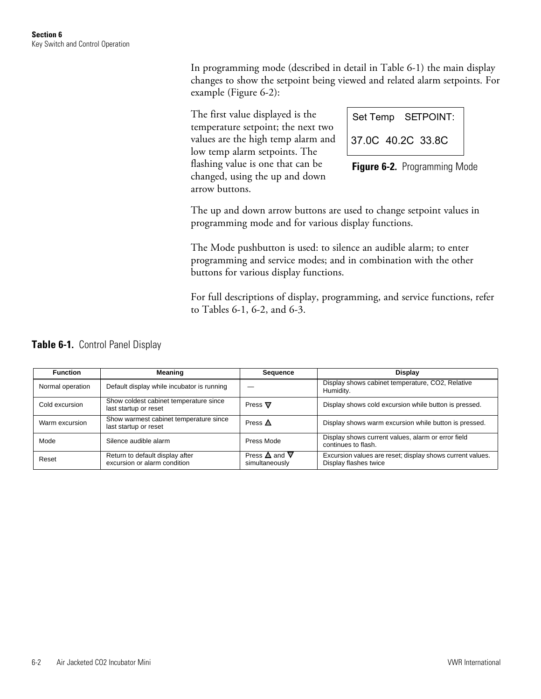In programming mode (described in detail in Table 6-1) the main display changes to show the setpoint being viewed and related alarm setpoints. For example (Figure 6-2):

The first value displayed is the temperature setpoint; the next two values are the high temp alarm and low temp alarm setpoints. The flashing value is one that can be changed, using the up and down arrow buttons.

|                   |  | Set Temp SETPOINT: |
|-------------------|--|--------------------|
| 37.0C 40.2C 33.8C |  |                    |

**Figure 6-2.** Programming Mode

The up and down arrow buttons are used to change setpoint values in programming mode and for various display functions.

The Mode pushbutton is used: to silence an audible alarm; to enter programming and service modes; and in combination with the other buttons for various display functions.

For full descriptions of display, programming, and service functions, refer to Tables 6-1, 6-2, and 6-3.

|  | Table 6-1. Control Panel Display |
|--|----------------------------------|
|--|----------------------------------|

| <b>Function</b>  | Meaning                                                         | Sequence                                         | Display                                                                            |
|------------------|-----------------------------------------------------------------|--------------------------------------------------|------------------------------------------------------------------------------------|
| Normal operation | Default display while incubator is running                      |                                                  | Display shows cabinet temperature, CO2, Relative<br>Humidity.                      |
| Cold excursion   | Show coldest cabinet temperature since<br>last startup or reset | Press $\nabla$                                   | Display shows cold excursion while button is pressed.                              |
| Warm excursion   | Show warmest cabinet temperature since<br>last startup or reset | Press $\triangle$                                | Display shows warm excursion while button is pressed.                              |
| Mode             | Silence audible alarm                                           | Press Mode                                       | Display shows current values, alarm or error field<br>continues to flash.          |
| Reset            | Return to default display after<br>excursion or alarm condition | Press $\triangle$ and $\nabla$<br>simultaneously | Excursion values are reset; display shows current values.<br>Display flashes twice |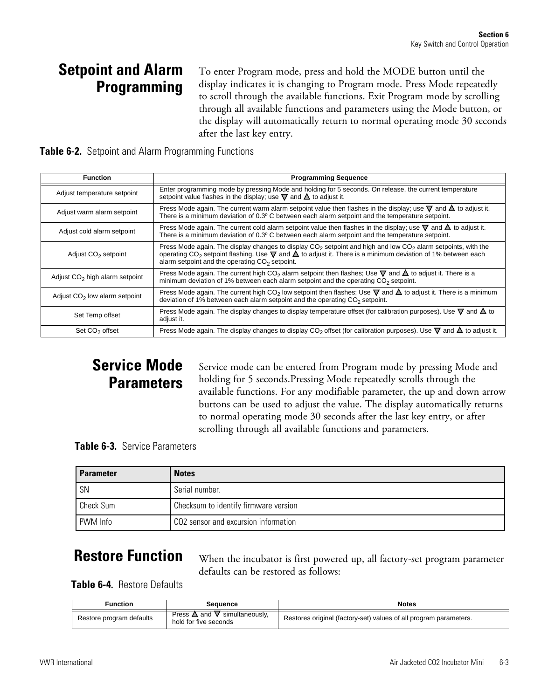### **Setpoint and Alarm Programming**

To enter Program mode, press and hold the MODE button until the display indicates it is changing to Program mode. Press Mode repeatedly to scroll through the available functions. Exit Program mode by scrolling through all available functions and parameters using the Mode button, or the display will automatically return to normal operating mode 30 seconds after the last key entry.

|  | Table 6-2. Setpoint and Alarm Programming Functions |  |
|--|-----------------------------------------------------|--|
|  |                                                     |  |

| <b>Function</b>                  | <b>Programming Sequence</b>                                                                                                                                                                                                                                                                                  |
|----------------------------------|--------------------------------------------------------------------------------------------------------------------------------------------------------------------------------------------------------------------------------------------------------------------------------------------------------------|
| Adjust temperature setpoint      | Enter programming mode by pressing Mode and holding for 5 seconds. On release, the current temperature<br>setpoint value flashes in the display; use $\nabla$ and $\Delta$ to adjust it.                                                                                                                     |
| Adjust warm alarm setpoint       | Press Mode again. The current warm alarm setpoint value then flashes in the display; use $\nabla$ and $\Delta$ to adjust it.<br>There is a minimum deviation of 0.3º C between each alarm setpoint and the temperature setpoint.                                                                             |
| Adjust cold alarm setpoint       | Press Mode again. The current cold alarm setpoint value then flashes in the display; use $\nabla$ and $\Delta$ to adjust it.<br>There is a minimum deviation of 0.3° C between each alarm setpoint and the temperature setpoint.                                                                             |
| Adjust CO <sub>2</sub> setpoint  | Press Mode again. The display changes to display $CO2$ setpoint and high and low $CO2$ alarm setpoints, with the<br>operating CO <sub>2</sub> setpoint flashing. Use $\nabla$ and $\Delta$ to adjust it. There is a minimum deviation of 1% between each<br>alarm setpoint and the operating $CO2$ setpoint. |
| Adjust $CO2$ high alarm setpoint | Press Mode again. The current high CO <sub>2</sub> alarm setpoint then flashes; Use $\nabla$ and $\Delta$ to adjust it. There is a<br>minimum deviation of 1% between each alarm setpoint and the operating $CO2$ setpoint.                                                                                  |
| Adjust $CO2$ low alarm setpoint  | Press Mode again. The current high CO <sub>2</sub> low setpoint then flashes; Use $\nabla$ and $\Delta$ to adjust it. There is a minimum<br>deviation of 1% between each alarm setpoint and the operating CO <sub>2</sub> setpoint.                                                                          |
| Set Temp offset                  | Press Mode again. The display changes to display temperature offset (for calibration purposes). Use $\nabla$ and $\Delta$ to<br>adjust it.                                                                                                                                                                   |
| Set $CO2$ offset                 | Press Mode again. The display changes to display CO <sub>2</sub> offset (for calibration purposes). Use $\nabla$ and $\Delta$ to adjust it.                                                                                                                                                                  |

## **Service Mode Parameters**

Service mode can be entered from Program mode by pressing Mode and holding for 5 seconds.Pressing Mode repeatedly scrolls through the available functions. For any modifiable parameter, the up and down arrow buttons can be used to adjust the value. The display automatically returns to normal operating mode 30 seconds after the last key entry, or after scrolling through all available functions and parameters.

**Table 6-3.** Service Parameters

| <b>Parameter</b> | <b>Notes</b>                          |
|------------------|---------------------------------------|
| SN               | Serial number.                        |
| Check Sum        | Checksum to identify firmware version |
| PWM Info         | CO2 sensor and excursion information  |

## **Restore Function**

When the incubator is first powered up, all factory-set program parameter defaults can be restored as follows:

**Table 6-4.** Restore Defaults

| Function                 | Sequence                                                          | <b>Notes</b>                                                      |
|--------------------------|-------------------------------------------------------------------|-------------------------------------------------------------------|
| Restore program defaults | Press $\triangle$ and<br>simultaneouslv.<br>hold for five seconds | Restores original (factory-set) values of all program parameters. |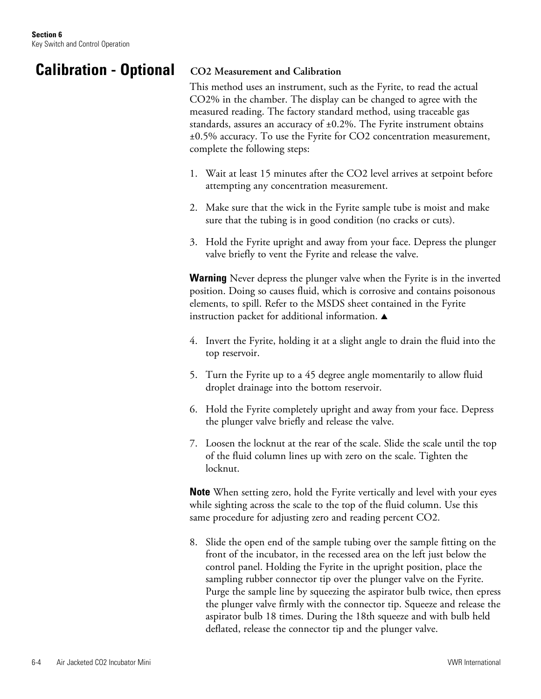### **Calibration - Optional**

#### **CO2 Measurement and Calibration**

This method uses an instrument, such as the Fyrite, to read the actual CO2% in the chamber. The display can be changed to agree with the measured reading. The factory standard method, using traceable gas standards, assures an accuracy of  $\pm 0.2$ %. The Fyrite instrument obtains ±0.5% accuracy. To use the Fyrite for CO2 concentration measurement, complete the following steps:

- 1. Wait at least 15 minutes after the CO2 level arrives at setpoint before attempting any concentration measurement.
- 2. Make sure that the wick in the Fyrite sample tube is moist and make sure that the tubing is in good condition (no cracks or cuts).
- 3. Hold the Fyrite upright and away from your face. Depress the plunger valve briefly to vent the Fyrite and release the valve.

**Warning** Never depress the plunger valve when the Fyrite is in the inverted position. Doing so causes fluid, which is corrosive and contains poisonous elements, to spill. Refer to the MSDS sheet contained in the Fyrite instruction packet for additional information.  $\blacktriangle$ 

- 4. Invert the Fyrite, holding it at a slight angle to drain the fluid into the top reservoir.
- 5. Turn the Fyrite up to a 45 degree angle momentarily to allow fluid droplet drainage into the bottom reservoir.
- 6. Hold the Fyrite completely upright and away from your face. Depress the plunger valve briefly and release the valve.
- 7. Loosen the locknut at the rear of the scale. Slide the scale until the top of the fluid column lines up with zero on the scale. Tighten the locknut.

**Note** When setting zero, hold the Fyrite vertically and level with your eyes while sighting across the scale to the top of the fluid column. Use this same procedure for adjusting zero and reading percent CO2.

8. Slide the open end of the sample tubing over the sample fitting on the front of the incubator, in the recessed area on the left just below the control panel. Holding the Fyrite in the upright position, place the sampling rubber connector tip over the plunger valve on the Fyrite. Purge the sample line by squeezing the aspirator bulb twice, then epress the plunger valve firmly with the connector tip. Squeeze and release the aspirator bulb 18 times. During the 18th squeeze and with bulb held deflated, release the connector tip and the plunger valve.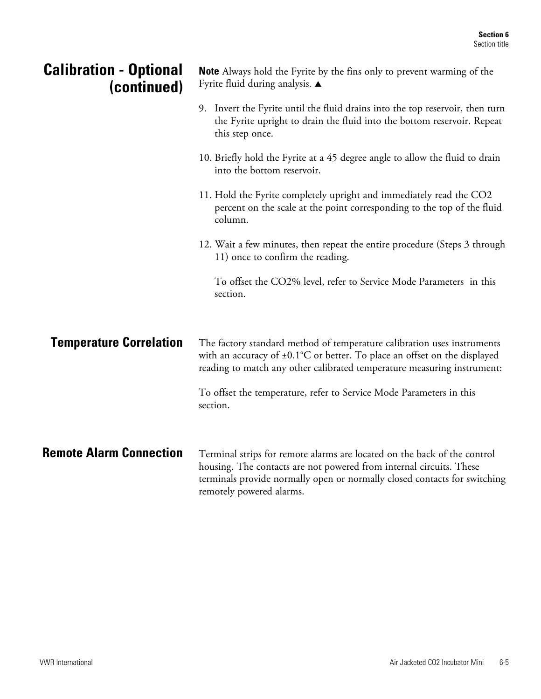| <b>Calibration - Optional</b><br>(continued) | <b>Note</b> Always hold the Fyrite by the fins only to prevent warming of the<br>Fyrite fluid during analysis. ▲                                                                                                                                         |  |
|----------------------------------------------|----------------------------------------------------------------------------------------------------------------------------------------------------------------------------------------------------------------------------------------------------------|--|
|                                              | 9. Invert the Fyrite until the fluid drains into the top reservoir, then turn<br>the Fyrite upright to drain the fluid into the bottom reservoir. Repeat<br>this step once.                                                                              |  |
|                                              | 10. Briefly hold the Fyrite at a 45 degree angle to allow the fluid to drain<br>into the bottom reservoir.                                                                                                                                               |  |
|                                              | 11. Hold the Fyrite completely upright and immediately read the CO2<br>percent on the scale at the point corresponding to the top of the fluid<br>column.                                                                                                |  |
|                                              | 12. Wait a few minutes, then repeat the entire procedure (Steps 3 through<br>11) once to confirm the reading.                                                                                                                                            |  |
|                                              | To offset the CO2% level, refer to Service Mode Parameters in this<br>section.                                                                                                                                                                           |  |
| <b>Temperature Correlation</b>               | The factory standard method of temperature calibration uses instruments<br>with an accuracy of $\pm 0.1^{\circ}$ C or better. To place an offset on the displayed<br>reading to match any other calibrated temperature measuring instrument:             |  |
|                                              | To offset the temperature, refer to Service Mode Parameters in this<br>section.                                                                                                                                                                          |  |
| <b>Remote Alarm Connection</b>               | Terminal strips for remote alarms are located on the back of the control<br>housing. The contacts are not powered from internal circuits. These<br>terminals provide normally open or normally closed contacts for switching<br>remotely powered alarms. |  |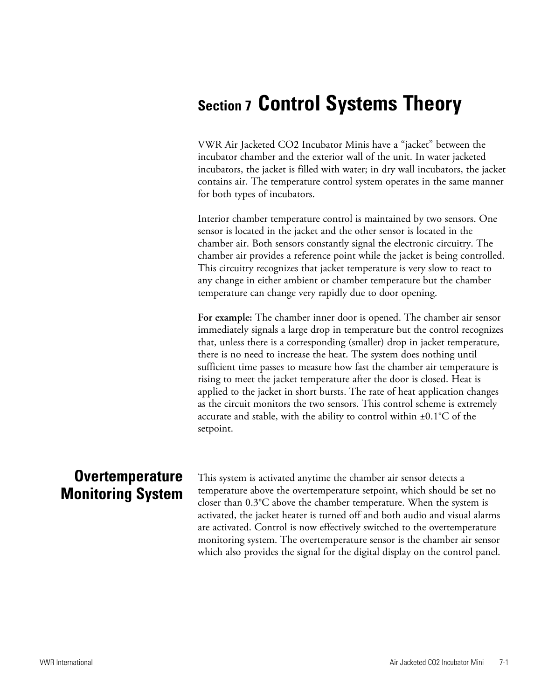## **Section 7 Control Systems Theory**

VWR Air Jacketed CO2 Incubator Minis have a "jacket" between the incubator chamber and the exterior wall of the unit. In water jacketed incubators, the jacket is filled with water; in dry wall incubators, the jacket contains air. The temperature control system operates in the same manner for both types of incubators.

Interior chamber temperature control is maintained by two sensors. One sensor is located in the jacket and the other sensor is located in the chamber air. Both sensors constantly signal the electronic circuitry. The chamber air provides a reference point while the jacket is being controlled. This circuitry recognizes that jacket temperature is very slow to react to any change in either ambient or chamber temperature but the chamber temperature can change very rapidly due to door opening.

**For example:** The chamber inner door is opened. The chamber air sensor immediately signals a large drop in temperature but the control recognizes that, unless there is a corresponding (smaller) drop in jacket temperature, there is no need to increase the heat. The system does nothing until sufficient time passes to measure how fast the chamber air temperature is rising to meet the jacket temperature after the door is closed. Heat is applied to the jacket in short bursts. The rate of heat application changes as the circuit monitors the two sensors. This control scheme is extremely accurate and stable, with the ability to control within  $\pm 0.1^{\circ}C$  of the setpoint.

### **Overtemperature Monitoring System**

This system is activated anytime the chamber air sensor detects a temperature above the overtemperature setpoint, which should be set no closer than 0.3°C above the chamber temperature. When the system is activated, the jacket heater is turned off and both audio and visual alarms are activated. Control is now effectively switched to the overtemperature monitoring system. The overtemperature sensor is the chamber air sensor which also provides the signal for the digital display on the control panel.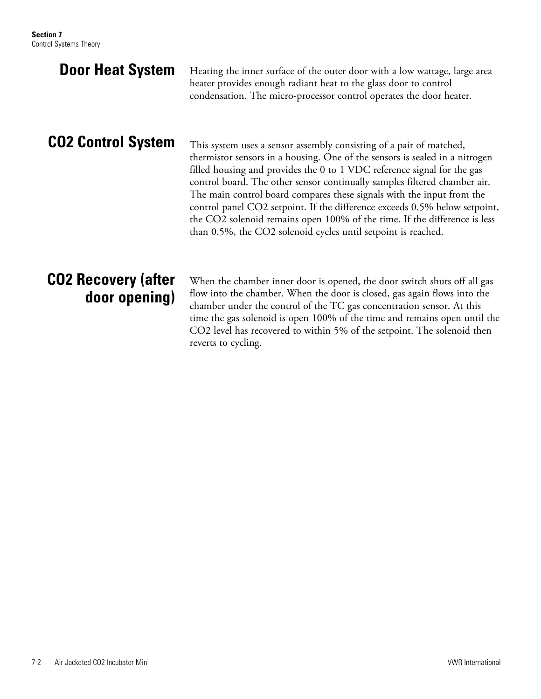| <b>Door Heat System</b>                     | Heating the inner surface of the outer door with a low wattage, large area<br>heater provides enough radiant heat to the glass door to control<br>condensation. The micro-processor control operates the door heater.                                                                                                                                                                                                                                                                                                                                                                                           |
|---------------------------------------------|-----------------------------------------------------------------------------------------------------------------------------------------------------------------------------------------------------------------------------------------------------------------------------------------------------------------------------------------------------------------------------------------------------------------------------------------------------------------------------------------------------------------------------------------------------------------------------------------------------------------|
| <b>CO2 Control System</b>                   | This system uses a sensor assembly consisting of a pair of matched,<br>thermistor sensors in a housing. One of the sensors is sealed in a nitrogen<br>filled housing and provides the 0 to 1 VDC reference signal for the gas<br>control board. The other sensor continually samples filtered chamber air.<br>The main control board compares these signals with the input from the<br>control panel CO2 setpoint. If the difference exceeds 0.5% below setpoint,<br>the CO2 solenoid remains open 100% of the time. If the difference is less<br>than 0.5%, the CO2 solenoid cycles until setpoint is reached. |
| <b>CO2 Recovery (after</b><br>door opening) | When the chamber inner door is opened, the door switch shuts off all gas<br>flow into the chamber. When the door is closed, gas again flows into the<br>chamber under the control of the TC gas concentration sensor. At this<br>time the gas solenoid is open 100% of the time and remains open until the<br>CO2 level has recovered to within 5% of the setpoint. The solenoid then<br>reverts to cycling.                                                                                                                                                                                                    |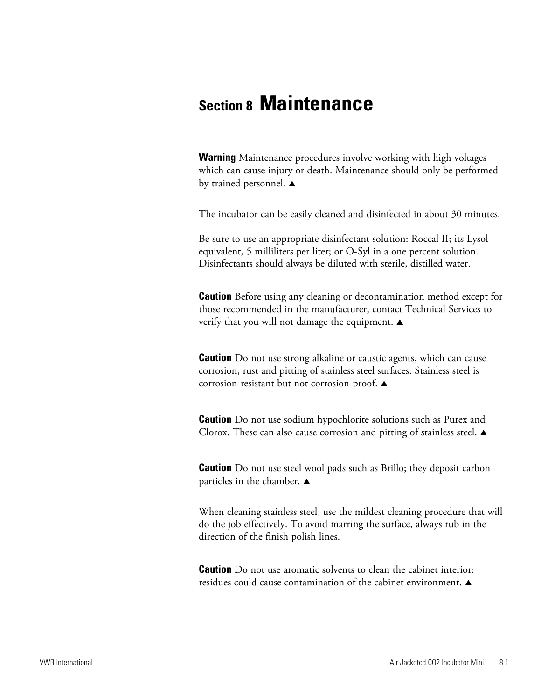## **Section 8 Maintenance**

**Warning** Maintenance procedures involve working with high voltages which can cause injury or death. Maintenance should only be performed by trained personnel.  $\blacktriangle$ 

The incubator can be easily cleaned and disinfected in about 30 minutes.

Be sure to use an appropriate disinfectant solution: Roccal II; its Lysol equivalent, 5 milliliters per liter; or O-Syl in a one percent solution. Disinfectants should always be diluted with sterile, distilled water.

**Caution** Before using any cleaning or decontamination method except for those recommended in the manufacturer, contact Technical Services to verify that you will not damage the equipment.  $\blacktriangle$ 

**Caution** Do not use strong alkaline or caustic agents, which can cause corrosion, rust and pitting of stainless steel surfaces. Stainless steel is corrosion-resistant but not corrosion-proof.  $\blacktriangle$ 

**Caution** Do not use sodium hypochlorite solutions such as Purex and Clorox. These can also cause corrosion and pitting of stainless steel.  $\blacktriangle$ 

**Caution** Do not use steel wool pads such as Brillo; they deposit carbon particles in the chamber.  $\blacktriangle$ 

When cleaning stainless steel, use the mildest cleaning procedure that will do the job effectively. To avoid marring the surface, always rub in the direction of the finish polish lines.

**Caution** Do not use aromatic solvents to clean the cabinet interior: residues could cause contamination of the cabinet environment.  $\blacktriangle$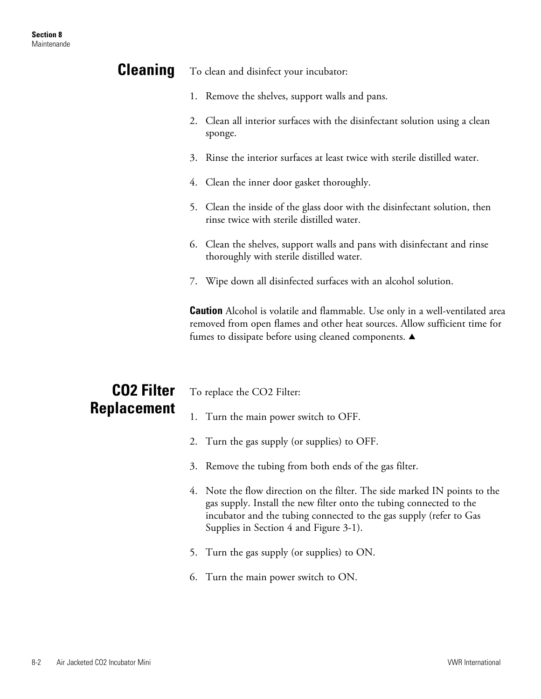| <b>Cleaning</b>    | To clean and disinfect your incubator:                                                                                                                                                                                    |  |  |
|--------------------|---------------------------------------------------------------------------------------------------------------------------------------------------------------------------------------------------------------------------|--|--|
|                    | 1. Remove the shelves, support walls and pans.                                                                                                                                                                            |  |  |
|                    | Clean all interior surfaces with the disinfectant solution using a clean<br>2.<br>sponge.                                                                                                                                 |  |  |
|                    | Rinse the interior surfaces at least twice with sterile distilled water.<br>3.                                                                                                                                            |  |  |
|                    | 4. Clean the inner door gasket thoroughly.                                                                                                                                                                                |  |  |
|                    | 5. Clean the inside of the glass door with the disinfectant solution, then<br>rinse twice with sterile distilled water.                                                                                                   |  |  |
|                    | 6. Clean the shelves, support walls and pans with disinfectant and rinse<br>thoroughly with sterile distilled water.                                                                                                      |  |  |
|                    | 7. Wipe down all disinfected surfaces with an alcohol solution.                                                                                                                                                           |  |  |
|                    | <b>Caution</b> Alcohol is volatile and flammable. Use only in a well-ventilated area<br>removed from open flames and other heat sources. Allow sufficient time for<br>fumes to dissipate before using cleaned components. |  |  |
| <b>CO2 Filter</b>  | To replace the CO2 Filter:                                                                                                                                                                                                |  |  |
| <b>Replacement</b> | 1. Turn the main power switch to OFF.                                                                                                                                                                                     |  |  |
|                    | 2. Turn the gas supply (or supplies) to OFF.                                                                                                                                                                              |  |  |

- 
- 3. Remove the tubing from both ends of the gas filter.
- 4. Note the flow direction on the filter. The side marked IN points to the gas supply. Install the new filter onto the tubing connected to the incubator and the tubing connected to the gas supply (refer to Gas Supplies in Section 4 and Figure 3-1).
- 5. Turn the gas supply (or supplies) to ON.
- 6. Turn the main power switch to ON.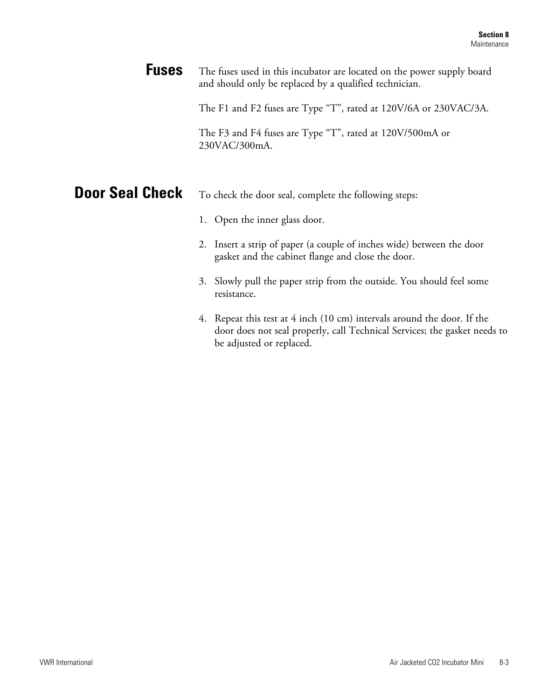The fuses used in this incubator are located on the power supply board and should only be replaced by a qualified technician. **Fuses**

The F1 and F2 fuses are Type "T", rated at 120V/6A or 230VAC/3A.

The F3 and F4 fuses are Type "T", rated at 120V/500mA or 230VAC/300mA.

#### To check the door seal, complete the following steps: **Door Seal Check**

- 1. Open the inner glass door.
- 2. Insert a strip of paper (a couple of inches wide) between the door gasket and the cabinet flange and close the door.
- 3. Slowly pull the paper strip from the outside. You should feel some resistance.
- 4. Repeat this test at 4 inch (10 cm) intervals around the door. If the door does not seal properly, call Technical Services; the gasket needs to be adjusted or replaced.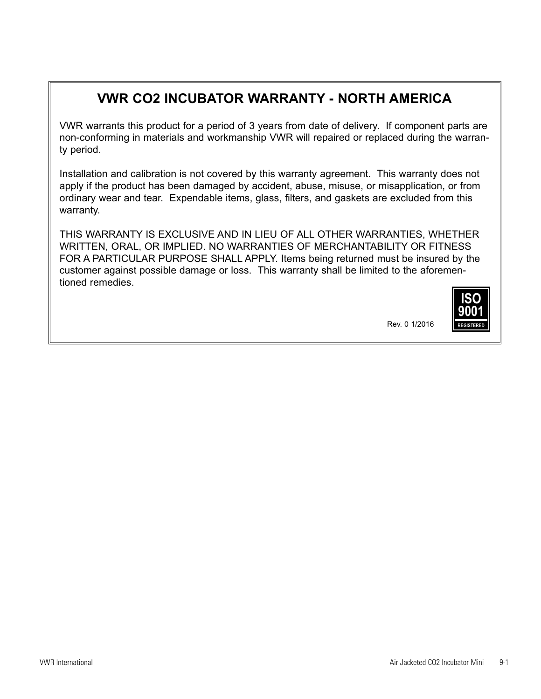### **VWR CO2 INCUBATOR WARRANTY - NORTH AMERICA**

VWR warrants this product for a period of 3 years from date of delivery. If component parts are non-conforming in materials and workmanship VWR will repaired or replaced during the warranty period.

Installation and calibration is not covered by this warranty agreement. This warranty does not apply if the product has been damaged by accident, abuse, misuse, or misapplication, or from ordinary wear and tear. Expendable items, glass, filters, and gaskets are excluded from this warranty.

THIS WARRANTY IS EXCLUSIVE AND IN LIEU OF ALL OTHER WARRANTIES, WHETHER WRITTEN, ORAL, OR IMPLIED. NO WARRANTIES OF MERCHANTABILITY OR FITNESS FOR A PARTICULAR PURPOSE SHALL APPLY. Items being returned must be insured by the customer against possible damage or loss. This warranty shall be limited to the aforementioned remedies.



**Rev. 0 1/2016**